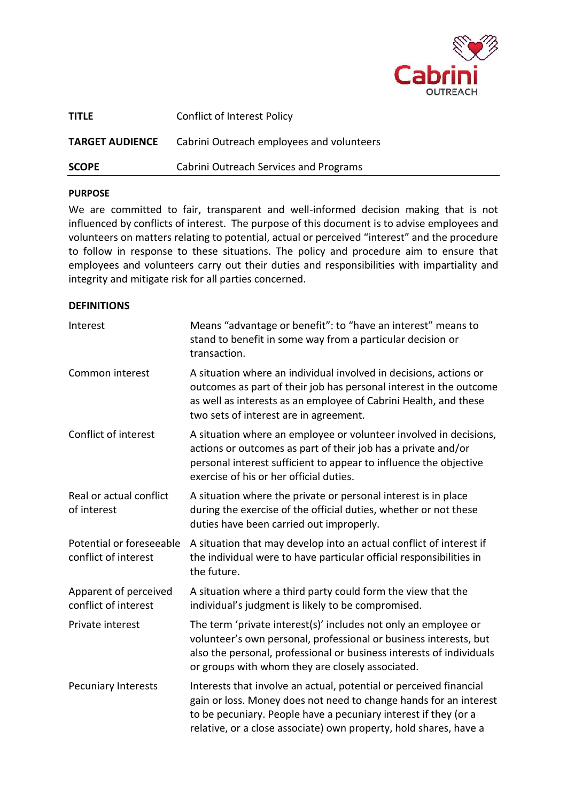

| <b>SCOPE</b>           | Cabrini Outreach Services and Programs    |
|------------------------|-------------------------------------------|
| <b>TARGET AUDIENCE</b> | Cabrini Outreach employees and volunteers |
| <b>TITLE</b>           | <b>Conflict of Interest Policy</b>        |

#### **PURPOSE**

We are committed to fair, transparent and well-informed decision making that is not influenced by conflicts of interest. The purpose of this document is to advise employees and volunteers on matters relating to potential, actual or perceived "interest" and the procedure to follow in response to these situations. The policy and procedure aim to ensure that employees and volunteers carry out their duties and responsibilities with impartiality and integrity and mitigate risk for all parties concerned.

#### **DEFINITIONS**

| Interest                                         | Means "advantage or benefit": to "have an interest" means to<br>stand to benefit in some way from a particular decision or<br>transaction.                                                                                                                                      |  |
|--------------------------------------------------|---------------------------------------------------------------------------------------------------------------------------------------------------------------------------------------------------------------------------------------------------------------------------------|--|
| Common interest                                  | A situation where an individual involved in decisions, actions or<br>outcomes as part of their job has personal interest in the outcome<br>as well as interests as an employee of Cabrini Health, and these<br>two sets of interest are in agreement.                           |  |
| Conflict of interest                             | A situation where an employee or volunteer involved in decisions,<br>actions or outcomes as part of their job has a private and/or<br>personal interest sufficient to appear to influence the objective<br>exercise of his or her official duties.                              |  |
| Real or actual conflict<br>of interest           | A situation where the private or personal interest is in place<br>during the exercise of the official duties, whether or not these<br>duties have been carried out improperly.                                                                                                  |  |
| Potential or foreseeable<br>conflict of interest | A situation that may develop into an actual conflict of interest if<br>the individual were to have particular official responsibilities in<br>the future.                                                                                                                       |  |
| Apparent of perceived<br>conflict of interest    | A situation where a third party could form the view that the<br>individual's judgment is likely to be compromised.                                                                                                                                                              |  |
| Private interest                                 | The term 'private interest(s)' includes not only an employee or<br>volunteer's own personal, professional or business interests, but<br>also the personal, professional or business interests of individuals<br>or groups with whom they are closely associated.                |  |
| <b>Pecuniary Interests</b>                       | Interests that involve an actual, potential or perceived financial<br>gain or loss. Money does not need to change hands for an interest<br>to be pecuniary. People have a pecuniary interest if they (or a<br>relative, or a close associate) own property, hold shares, have a |  |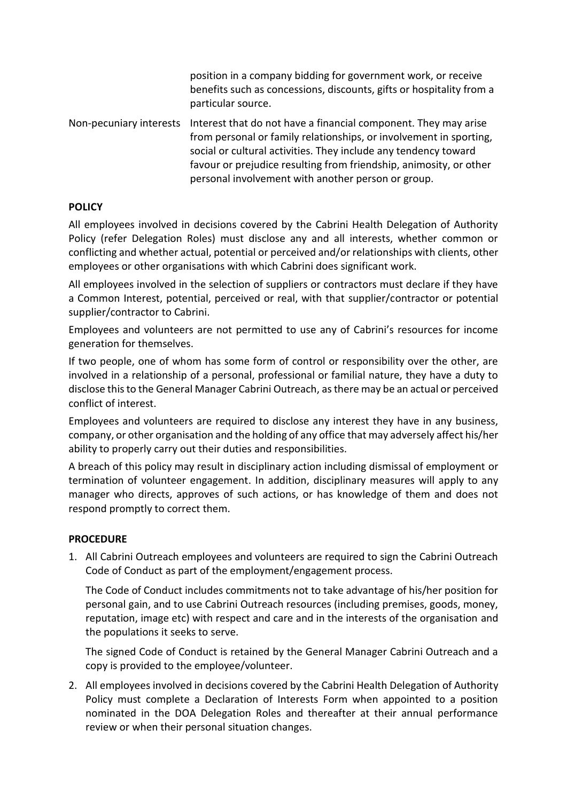position in a company bidding for government work, or receive benefits such as concessions, discounts, gifts or hospitality from a particular source.

Non-pecuniary interests Interest that do not have a financial component. They may arise from personal or family relationships, or involvement in sporting, social or cultural activities. They include any tendency toward favour or prejudice resulting from friendship, animosity, or other personal involvement with another person or group.

# **POLICY**

All employees involved in decisions covered by the Cabrini Health Delegation of Authority Policy (refer Delegation Roles) must disclose any and all interests, whether common or conflicting and whether actual, potential or perceived and/or relationships with clients, other employees or other organisations with which Cabrini does significant work.

All employees involved in the selection of suppliers or contractors must declare if they have a Common Interest, potential, perceived or real, with that supplier/contractor or potential supplier/contractor to Cabrini.

Employees and volunteers are not permitted to use any of Cabrini's resources for income generation for themselves.

If two people, one of whom has some form of control or responsibility over the other, are involved in a relationship of a personal, professional or familial nature, they have a duty to disclose this to the General Manager Cabrini Outreach, as there may be an actual or perceived conflict of interest.

Employees and volunteers are required to disclose any interest they have in any business, company, or other organisation and the holding of any office that may adversely affect his/her ability to properly carry out their duties and responsibilities.

A breach of this policy may result in disciplinary action including dismissal of employment or termination of volunteer engagement. In addition, disciplinary measures will apply to any manager who directs, approves of such actions, or has knowledge of them and does not respond promptly to correct them.

# **PROCEDURE**

1. All Cabrini Outreach employees and volunteers are required to sign the Cabrini Outreach Code of Conduct as part of the employment/engagement process.

The Code of Conduct includes commitments not to take advantage of his/her position for personal gain, and to use Cabrini Outreach resources (including premises, goods, money, reputation, image etc) with respect and care and in the interests of the organisation and the populations it seeks to serve.

The signed Code of Conduct is retained by the General Manager Cabrini Outreach and a copy is provided to the employee/volunteer.

2. All employees involved in decisions covered by the Cabrini Health Delegation of Authority Policy must complete a Declaration of Interests Form when appointed to a position nominated in the DOA Delegation Roles and thereafter at their annual performance review or when their personal situation changes.